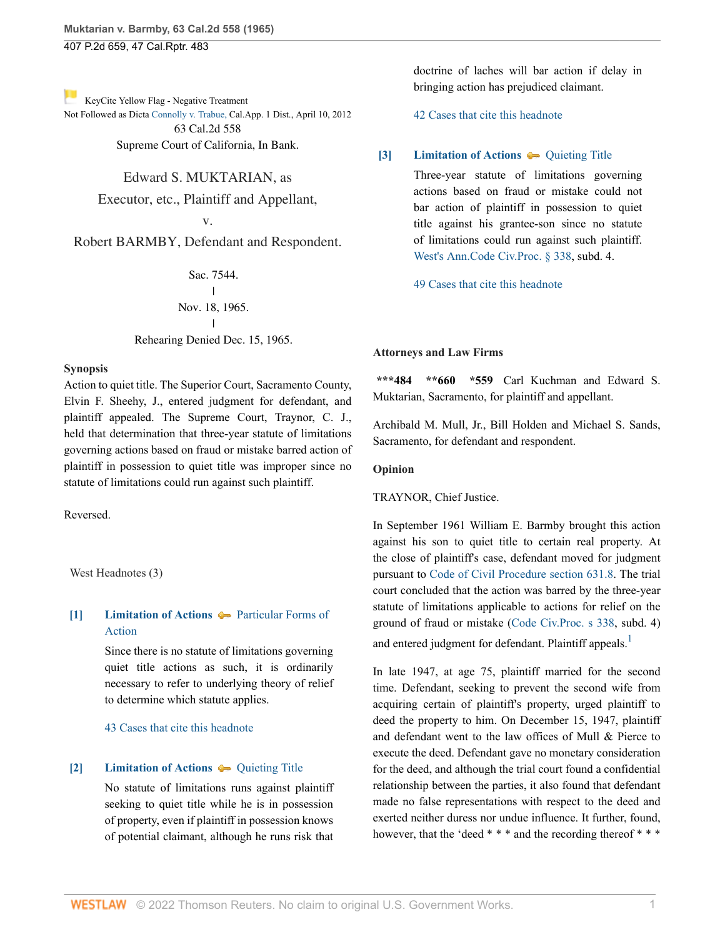407 P.2d 659, 47 Cal.Rptr. 483

[K](http://www.westlaw.com/Link/RelatedInformation/Flag?documentGuid=I69451df9facc11d98ac8f235252e36df&transitionType=Document&originationContext=docHeaderFlag&Rank=0&rs=cblt1.0&vr=3.0&contextData=(sc.History*oc.DocLink))eyCite Yellow Flag - Negative Treatment

Not Followed as Dicta [Connolly v. Trabue, C](https://www.westlaw.com/Document/I9978c41a832611e1ac60ad556f635d49/View/FullText.html?navigationPath=RelatedInfo%2Fv4%2Fkeycite%2Fnav%2F%3Fguid%3DI9978c41a832611e1ac60ad556f635d49%26ss%3D1965109530%26ds%3D2027469892%26origDocGuid%3DI69451df9facc11d98ac8f235252e36df&listSource=RelatedInfo&list=NegativeCitingReferences&rank=0&ppcid=8ca90484ce6c4c40acf9b80442dd35a5&originationContext=docHeader&transitionType=NegativeTreatment&contextData=%28sc.History*oc.DocLink%29&VR=3.0&RS=cblt1.0 )al.App. 1 Dist., April 10, 2012 63 Cal.2d 558

Supreme Court of California, In Bank.

## Edward S. MUKTARIAN, as

Executor, etc., Plaintiff and Appellant,

v.

Robert BARMBY, Defendant and Respondent.

Sac. 7544.  $\overline{1}$ | Nov. 18, 1965. | Rehearing Denied Dec. 15, 1965.

## **Synopsis**

Action to quiet title. The Superior Court, Sacramento County, Elvin F. Sheehy, J., entered judgment for defendant, and plaintiff appealed. The Supreme Court, Traynor, C. J., held that determination that three-year statute of limitations governing actions based on fraud or mistake barred action of plaintiff in possession to quiet title was improper since no statute of limitations could run against such plaintiff.

Reversed.

West Headnotes (3)

# <span id="page-0-0"></span>**[\[1\]](#page-1-0) [Limitation of Actions](http://www.westlaw.com/Browse/Home/KeyNumber/241/View.html?docGuid=I69451df9facc11d98ac8f235252e36df&originationContext=document&vr=3.0&rs=cblt1.0&transitionType=DocumentItem&contextData=(sc.History*oc.DocLink))**  $\rightarrow$  [Particular Forms of](http://www.westlaw.com/Browse/Home/KeyNumber/241k18/View.html?docGuid=I69451df9facc11d98ac8f235252e36df&originationContext=document&vr=3.0&rs=cblt1.0&transitionType=DocumentItem&contextData=(sc.History*oc.DocLink)) [Action](http://www.westlaw.com/Browse/Home/KeyNumber/241k18/View.html?docGuid=I69451df9facc11d98ac8f235252e36df&originationContext=document&vr=3.0&rs=cblt1.0&transitionType=DocumentItem&contextData=(sc.History*oc.DocLink))

Since there is no statute of limitations governing quiet title actions as such, it is ordinarily necessary to refer to underlying theory of relief to determine which statute applies.

[43 Cases that cite this headnote](http://www.westlaw.com/Link/RelatedInformation/DocHeadnoteLink?docGuid=I69451df9facc11d98ac8f235252e36df&headnoteId=196510953050120000427021537&originationContext=document&vr=3.0&rs=cblt1.0&transitionType=CitingReferences&contextData=(sc.History*oc.DocLink))

#### <span id="page-0-1"></span>**[\[2\]](#page-1-1) [Limitation of Actions](http://www.westlaw.com/Browse/Home/KeyNumber/241/View.html?docGuid=I69451df9facc11d98ac8f235252e36df&originationContext=document&vr=3.0&rs=cblt1.0&transitionType=DocumentItem&contextData=(sc.History*oc.DocLink))**  $\bullet$  [Quieting Title](http://www.westlaw.com/Browse/Home/KeyNumber/241k60(10)/View.html?docGuid=I69451df9facc11d98ac8f235252e36df&originationContext=document&vr=3.0&rs=cblt1.0&transitionType=DocumentItem&contextData=(sc.History*oc.DocLink))

No statute of limitations runs against plaintiff seeking to quiet title while he is in possession of property, even if plaintiff in possession knows of potential claimant, although he runs risk that doctrine of laches will bar action if delay in bringing action has prejudiced claimant.

[42 Cases that cite this headnote](http://www.westlaw.com/Link/RelatedInformation/DocHeadnoteLink?docGuid=I69451df9facc11d98ac8f235252e36df&headnoteId=196510953050220000427021537&originationContext=document&vr=3.0&rs=cblt1.0&transitionType=CitingReferences&contextData=(sc.History*oc.DocLink))

#### <span id="page-0-2"></span>**[\[3\]](#page-1-2) [Limitation of Actions](http://www.westlaw.com/Browse/Home/KeyNumber/241/View.html?docGuid=I69451df9facc11d98ac8f235252e36df&originationContext=document&vr=3.0&rs=cblt1.0&transitionType=DocumentItem&contextData=(sc.History*oc.DocLink))**  $\bullet$  [Quieting Title](http://www.westlaw.com/Browse/Home/KeyNumber/241k60(10)/View.html?docGuid=I69451df9facc11d98ac8f235252e36df&originationContext=document&vr=3.0&rs=cblt1.0&transitionType=DocumentItem&contextData=(sc.History*oc.DocLink))

Three-year statute of limitations governing actions based on fraud or mistake could not bar action of plaintiff in possession to quiet title against his grantee-son since no statute of limitations could run against such plaintiff. [West's Ann.Code Civ.Proc. § 338,](http://www.westlaw.com/Link/Document/FullText?findType=L&pubNum=1000298&cite=CACPS338&originatingDoc=I69451df9facc11d98ac8f235252e36df&refType=LQ&originationContext=document&vr=3.0&rs=cblt1.0&transitionType=DocumentItem&contextData=(sc.History*oc.DocLink)) subd. 4.

[49 Cases that cite this headnote](http://www.westlaw.com/Link/RelatedInformation/DocHeadnoteLink?docGuid=I69451df9facc11d98ac8f235252e36df&headnoteId=196510953050320000427021537&originationContext=document&vr=3.0&rs=cblt1.0&transitionType=CitingReferences&contextData=(sc.History*oc.DocLink))

#### **Attorneys and Law Firms**

**\*\*\*484 \*\*660 \*559** Carl Kuchman and Edward S. Muktarian, Sacramento, for plaintiff and appellant.

Archibald M. Mull, Jr., Bill Holden and Michael S. Sands, Sacramento, for defendant and respondent.

### **Opinion**

TRAYNOR, Chief Justice.

In September 1961 William E. Barmby brought this action against his son to quiet title to certain real property. At the close of plaintiff's case, defendant moved for judgment pursuant to [Code of Civil Procedure section 631.8](http://www.westlaw.com/Link/Document/FullText?findType=L&pubNum=1000298&cite=CACPS631.8&originatingDoc=I69451df9facc11d98ac8f235252e36df&refType=LQ&originationContext=document&vr=3.0&rs=cblt1.0&transitionType=DocumentItem&contextData=(sc.History*oc.DocLink)). The trial court concluded that the action was barred by the three-year statute of limitations applicable to actions for relief on the ground of fraud or mistake [\(Code Civ.Proc. s 338](http://www.westlaw.com/Link/Document/FullText?findType=L&pubNum=1000298&cite=CACPS338&originatingDoc=I69451df9facc11d98ac8f235252e36df&refType=LQ&originationContext=document&vr=3.0&rs=cblt1.0&transitionType=DocumentItem&contextData=(sc.History*oc.DocLink)), subd. 4) and entered judgment for defendant. Plaintiff appeals.<sup>[1](#page-1-3)</sup>

<span id="page-0-3"></span>In late 1947, at age 75, plaintiff married for the second time. Defendant, seeking to prevent the second wife from acquiring certain of plaintiff's property, urged plaintiff to deed the property to him. On December 15, 1947, plaintiff and defendant went to the law offices of Mull & Pierce to execute the deed. Defendant gave no monetary consideration for the deed, and although the trial court found a confidential relationship between the parties, it also found that defendant made no false representations with respect to the deed and exerted neither duress nor undue influence. It further, found, however, that the 'deed \* \* \* and the recording thereof \* \* \*